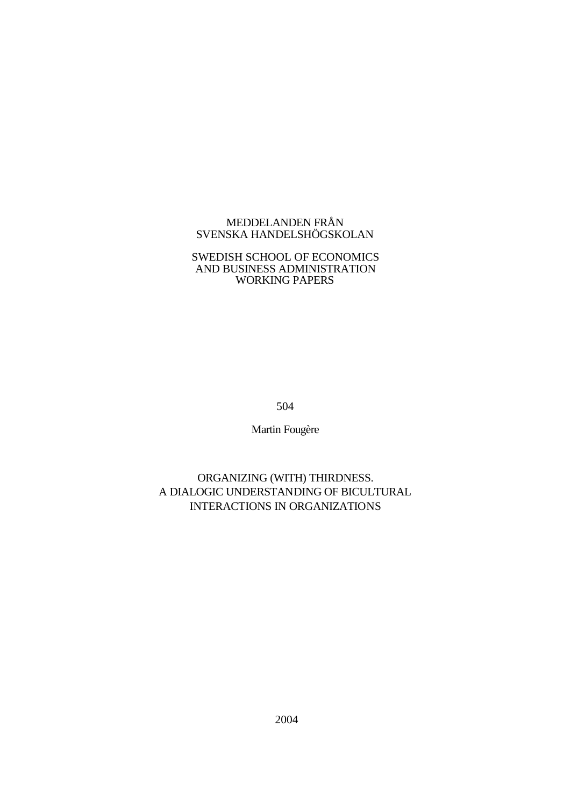## MEDDELANDEN FRÅN SVENSKA HANDELSHÖGSKOLAN

# SWEDISH SCHOOL OF ECONOMICS AND BUSINESS ADMINISTRATION WORKING PAPERS

504

Martin Fougère

# ORGANIZING (WITH) THIRDNESS. A DIALOGIC UNDERSTANDING OF BICULTURAL INTERACTIONS IN ORGANIZATIONS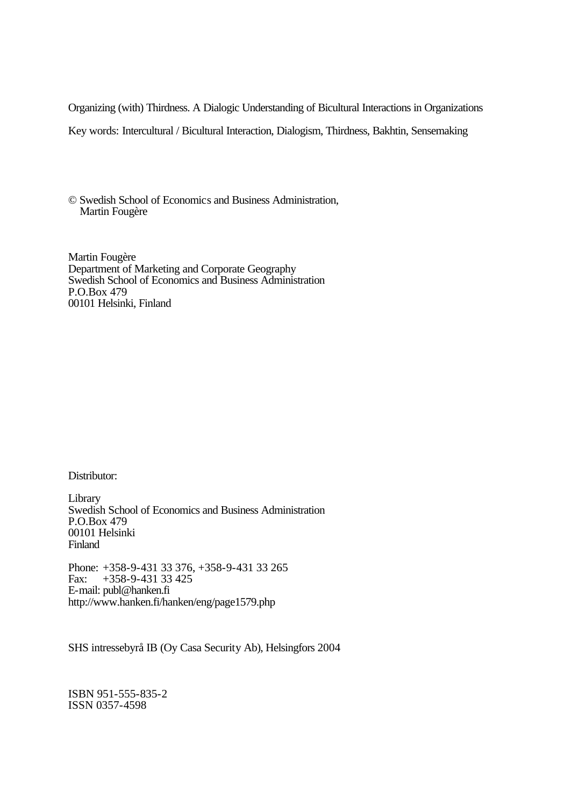Organizing (with) Thirdness. A Dialogic Understanding of Bicultural Interactions in Organizations

Key words: Intercultural / Bicultural Interaction, Dialogism, Thirdness, Bakhtin, Sensemaking

© Swedish School of Economics and Business Administration, Martin Fougère

Martin Fougère Department of Marketing and Corporate Geography Swedish School of Economics and Business Administration P.O.Box 479 00101 Helsinki, Finland

Distributor:

Library Swedish School of Economics and Business Administration P.O.Box 479 00101 Helsinki Finland

Phone: +358-9-431 33 376, +358-9-431 33 265 Fax: +358-9-431 33 425 E-mail: publ@hanken.fi http://www.hanken.fi/hanken/eng/page1579.php

SHS intressebyrå IB (Oy Casa Security Ab), Helsingfors 2004

ISBN 951-555-835-2 ISSN 0357-4598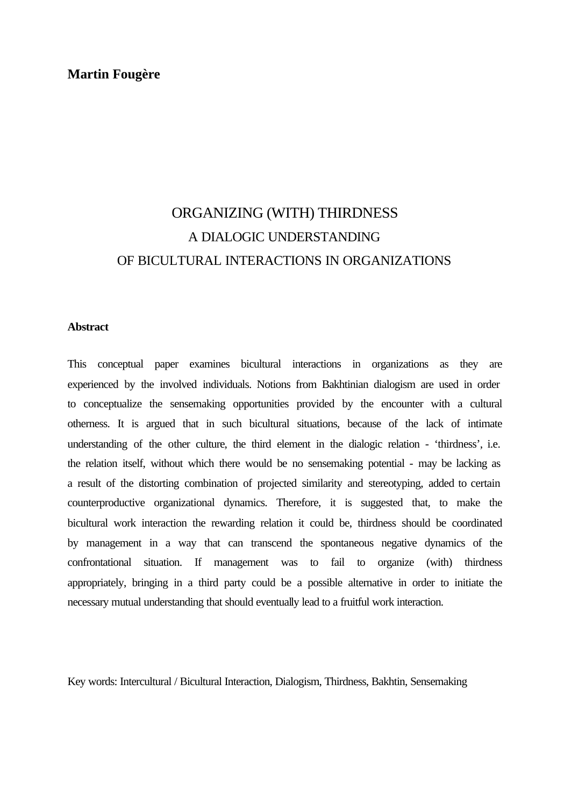# **Martin Fougère**

# ORGANIZING (WITH) THIRDNESS A DIALOGIC UNDERSTANDING OF BICULTURAL INTERACTIONS IN ORGANIZATIONS

## **Abstract**

This conceptual paper examines bicultural interactions in organizations as they are experienced by the involved individuals. Notions from Bakhtinian dialogism are used in order to conceptualize the sensemaking opportunities provided by the encounter with a cultural otherness. It is argued that in such bicultural situations, because of the lack of intimate understanding of the other culture, the third element in the dialogic relation - 'thirdness', i.e. the relation itself, without which there would be no sensemaking potential - may be lacking as a result of the distorting combination of projected similarity and stereotyping, added to certain counterproductive organizational dynamics. Therefore, it is suggested that, to make the bicultural work interaction the rewarding relation it could be, thirdness should be coordinated by management in a way that can transcend the spontaneous negative dynamics of the confrontational situation. If management was to fail to organize (with) thirdness appropriately, bringing in a third party could be a possible alternative in order to initiate the necessary mutual understanding that should eventually lead to a fruitful work interaction.

Key words: Intercultural / Bicultural Interaction, Dialogism, Thirdness, Bakhtin, Sensemaking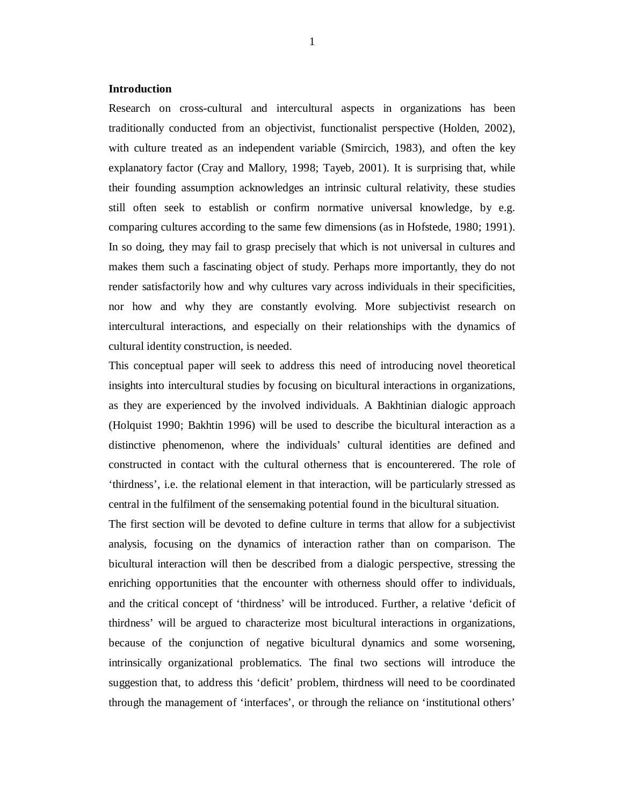#### **Introduction**

Research on cross-cultural and intercultural aspects in organizations has been traditionally conducted from an objectivist, functionalist perspective (Holden, 2002), with culture treated as an independent variable (Smircich, 1983), and often the key explanatory factor (Cray and Mallory, 1998; Tayeb, 2001). It is surprising that, while their founding assumption acknowledges an intrinsic cultural relativity, these studies still often seek to establish or confirm normative universal knowledge, by e.g. comparing cultures according to the same few dimensions (as in Hofstede, 1980; 1991). In so doing, they may fail to grasp precisely that which is not universal in cultures and makes them such a fascinating object of study. Perhaps more importantly, they do not render satisfactorily how and why cultures vary across individuals in their specificities, nor how and why they are constantly evolving. More subjectivist research on intercultural interactions, and especially on their relationships with the dynamics of cultural identity construction, is needed.

This conceptual paper will seek to address this need of introducing novel theoretical insights into intercultural studies by focusing on bicultural interactions in organizations, as they are experienced by the involved individuals. A Bakhtinian dialogic approach (Holquist 1990; Bakhtin 1996) will be used to describe the bicultural interaction as a distinctive phenomenon, where the individuals' cultural identities are defined and constructed in contact with the cultural otherness that is encounterered. The role of 'thirdness', i.e. the relational element in that interaction, will be particularly stressed as central in the fulfilment of the sensemaking potential found in the bicultural situation.

The first section will be devoted to define culture in terms that allow for a subjectivist analysis, focusing on the dynamics of interaction rather than on comparison. The bicultural interaction will then be described from a dialogic perspective, stressing the enriching opportunities that the encounter with otherness should offer to individuals, and the critical concept of 'thirdness' will be introduced. Further, a relative 'deficit of thirdness' will be argued to characterize most bicultural interactions in organizations, because of the conjunction of negative bicultural dynamics and some worsening, intrinsically organizational problematics. The final two sections will introduce the suggestion that, to address this 'deficit' problem, thirdness will need to be coordinated through the management of 'interfaces', or through the reliance on 'institutional others'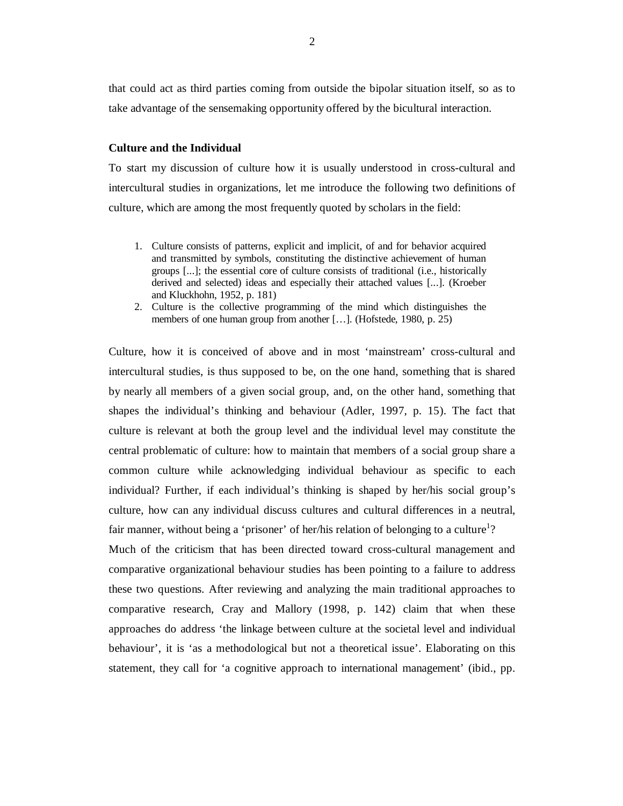that could act as third parties coming from outside the bipolar situation itself, so as to take advantage of the sensemaking opportunity offered by the bicultural interaction.

#### **Culture and the Individual**

To start my discussion of culture how it is usually understood in cross-cultural and intercultural studies in organizations, let me introduce the following two definitions of culture, which are among the most frequently quoted by scholars in the field:

- 1. Culture consists of patterns, explicit and implicit, of and for behavior acquired and transmitted by symbols, constituting the distinctive achievement of human groups [...]; the essential core of culture consists of traditional (i.e., historically derived and selected) ideas and especially their attached values [...]. (Kroeber and Kluckhohn, 1952, p. 181)
- 2. Culture is the collective programming of the mind which distinguishes the members of one human group from another […]. (Hofstede, 1980, p. 25)

Culture, how it is conceived of above and in most 'mainstream' cross-cultural and intercultural studies, is thus supposed to be, on the one hand, something that is shared by nearly all members of a given social group, and, on the other hand, something that shapes the individual's thinking and behaviour (Adler, 1997, p. 15). The fact that culture is relevant at both the group level and the individual level may constitute the central problematic of culture: how to maintain that members of a social group share a common culture while acknowledging individual behaviour as specific to each individual? Further, if each individual's thinking is shaped by her/his social group's culture, how can any individual discuss cultures and cultural differences in a neutral, fair manner, without being a 'prisoner' of her/his relation of belonging to a culture<sup>1</sup>?

Much of the criticism that has been directed toward cross-cultural management and comparative organizational behaviour studies has been pointing to a failure to address these two questions. After reviewing and analyzing the main traditional approaches to comparative research, Cray and Mallory (1998, p. 142) claim that when these approaches do address 'the linkage between culture at the societal level and individual behaviour', it is 'as a methodological but not a theoretical issue'. Elaborating on this statement, they call for 'a cognitive approach to international management' (ibid., pp.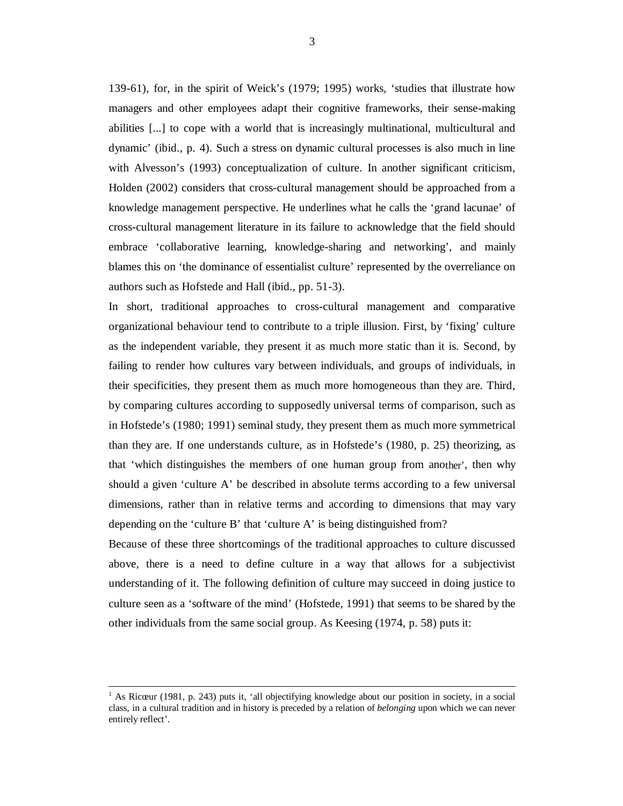139-61), for, in the spirit of Weick's (1979; 1995) works, 'studies that illustrate how managers and other employees adapt their cognitive frameworks, their sense-making abilities [...] to cope with a world that is increasingly multinational, multicultural and dynamic' (ibid., p. 4). Such a stress on dynamic cultural processes is also much in line with Alvesson's (1993) conceptualization of culture. In another significant criticism, Holden (2002) considers that cross-cultural management should be approached from a knowledge management perspective. He underlines what he calls the 'grand lacunae' of cross-cultural management literature in its failure to acknowledge that the field should embrace 'collaborative learning, knowledge-sharing and networking', and mainly blames this on 'the dominance of essentialist culture' represented by the overreliance on authors such as Hofstede and Hall (ibid., pp. 51-3).

In short, traditional approaches to cross-cultural management and comparative organizational behaviour tend to contribute to a triple illusion. First, by 'fixing' culture as the independent variable, they present it as much more static than it is. Second, by failing to render how cultures vary between individuals, and groups of individuals, in their specificities, they present them as much more homogeneous than they are. Third, by comparing cultures according to supposedly universal terms of comparison, such as in Hofstede's (1980; 1991) seminal study, they present them as much more symmetrical than they are. If one understands culture, as in Hofstede's (1980, p. 25) theorizing, as that 'which distinguishes the members of one human group from another', then why should a given 'culture A' be described in absolute terms according to a few universal dimensions, rather than in relative terms and according to dimensions that may vary depending on the 'culture B' that 'culture A' is being distinguished from?

Because of these three shortcomings of the traditional approaches to culture discussed above, there is a need to define culture in a way that allows for a subjectivist understanding of it. The following definition of culture may succeed in doing justice to culture seen as a 'software of the mind' (Hofstede, 1991) that seems to be shared by the other individuals from the same social group. As Keesing (1974, p. 58) puts it:

 $\frac{1}{1}$ <sup>1</sup> As Ricœur (1981, p. 243) puts it, 'all objectifying knowledge about our position in society, in a social class, in a cultural tradition and in history is preceded by a relation of *belonging* upon which we can never entirely reflect'.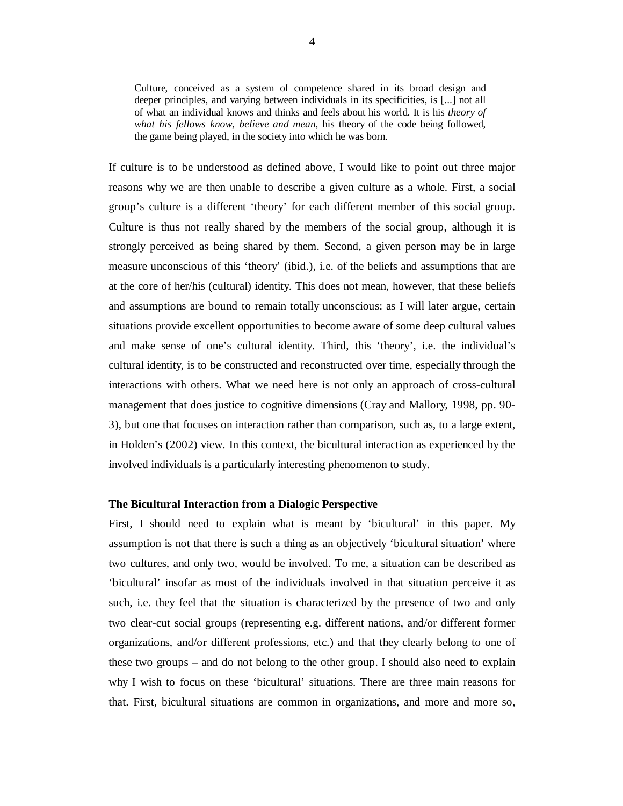Culture, conceived as a system of competence shared in its broad design and deeper principles, and varying between individuals in its specificities, is [...] not all of what an individual knows and thinks and feels about his world. It is his *theory of what his fellows know, believe and mean*, his theory of the code being followed, the game being played, in the society into which he was born.

If culture is to be understood as defined above, I would like to point out three major reasons why we are then unable to describe a given culture as a whole. First, a social group's culture is a different 'theory' for each different member of this social group. Culture is thus not really shared by the members of the social group, although it is strongly perceived as being shared by them. Second, a given person may be in large measure unconscious of this 'theory' (ibid.), i.e. of the beliefs and assumptions that are at the core of her/his (cultural) identity. This does not mean, however, that these beliefs and assumptions are bound to remain totally unconscious: as I will later argue, certain situations provide excellent opportunities to become aware of some deep cultural values and make sense of one's cultural identity. Third, this 'theory', i.e. the individual's cultural identity, is to be constructed and reconstructed over time, especially through the interactions with others. What we need here is not only an approach of cross-cultural management that does justice to cognitive dimensions (Cray and Mallory, 1998, pp. 90- 3), but one that focuses on interaction rather than comparison, such as, to a large extent, in Holden's (2002) view. In this context, the bicultural interaction as experienced by the involved individuals is a particularly interesting phenomenon to study.

## **The Bicultural Interaction from a Dialogic Perspective**

First, I should need to explain what is meant by 'bicultural' in this paper. My assumption is not that there is such a thing as an objectively 'bicultural situation' where two cultures, and only two, would be involved. To me, a situation can be described as 'bicultural' insofar as most of the individuals involved in that situation perceive it as such, i.e. they feel that the situation is characterized by the presence of two and only two clear-cut social groups (representing e.g. different nations, and/or different former organizations, and/or different professions, etc.) and that they clearly belong to one of these two groups – and do not belong to the other group. I should also need to explain why I wish to focus on these 'bicultural' situations. There are three main reasons for that. First, bicultural situations are common in organizations, and more and more so,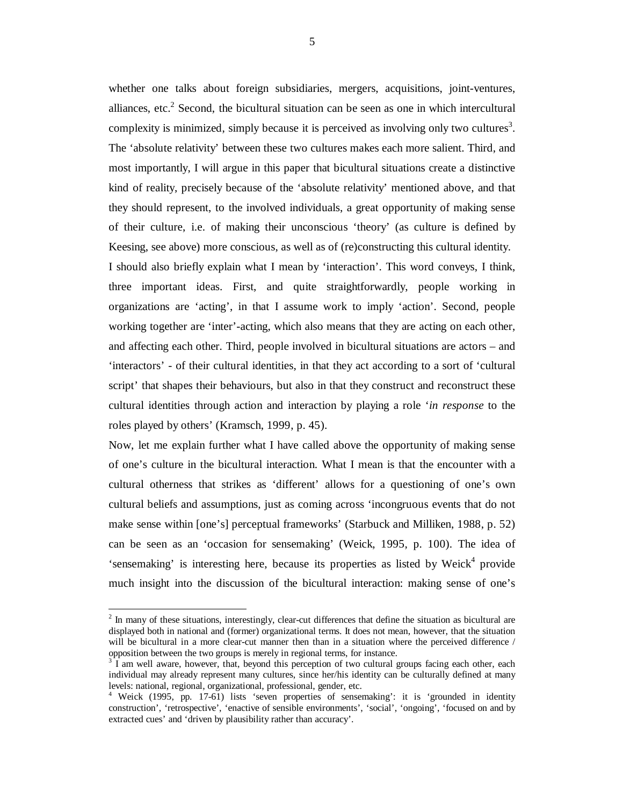whether one talks about foreign subsidiaries, mergers, acquisitions, joint-ventures, alliances, etc.<sup>2</sup> Second, the bicultural situation can be seen as one in which intercultural complexity is minimized, simply because it is perceived as involving only two cultures<sup>3</sup>. The 'absolute relativity' between these two cultures makes each more salient. Third, and most importantly, I will argue in this paper that bicultural situations create a distinctive kind of reality, precisely because of the 'absolute relativity' mentioned above, and that they should represent, to the involved individuals, a great opportunity of making sense of their culture, i.e. of making their unconscious 'theory' (as culture is defined by Keesing, see above) more conscious, as well as of (re)constructing this cultural identity.

I should also briefly explain what I mean by 'interaction'. This word conveys, I think, three important ideas. First, and quite straightforwardly, people working in organizations are 'acting', in that I assume work to imply 'action'. Second, people working together are 'inter'-acting, which also means that they are acting on each other, and affecting each other. Third, people involved in bicultural situations are actors – and 'interactors' - of their cultural identities, in that they act according to a sort of 'cultural script' that shapes their behaviours, but also in that they construct and reconstruct these cultural identities through action and interaction by playing a role '*in response* to the roles played by others' (Kramsch, 1999, p. 45).

Now, let me explain further what I have called above the opportunity of making sense of one's culture in the bicultural interaction. What I mean is that the encounter with a cultural otherness that strikes as 'different' allows for a questioning of one's own cultural beliefs and assumptions, just as coming across 'incongruous events that do not make sense within [one's] perceptual frameworks' (Starbuck and Milliken, 1988, p. 52) can be seen as an 'occasion for sensemaking' (Weick, 1995, p. 100). The idea of 'sensemaking' is interesting here, because its properties as listed by  $Weick<sup>4</sup>$  provide much insight into the discussion of the bicultural interaction: making sense of one's

 $2$  In many of these situations, interestingly, clear-cut differences that define the situation as bicultural are displayed both in national and (former) organizational terms. It does not mean, however, that the situation will be bicultural in a more clear-cut manner then than in a situation where the perceived difference / opposition between the two groups is merely in regional terms, for instance. 3

I am well aware, however, that, beyond this perception of two cultural groups facing each other, each individual may already represent many cultures, since her/his identity can be culturally defined at many levels: national, regional, organizational, professional, gender, etc.

<sup>4</sup> Weick (1995, pp. 17-61) lists 'seven properties of sensemaking': it is 'grounded in identity construction', 'retrospective', 'enactive of sensible environments', 'social', 'ongoing', 'focused on and by extracted cues' and 'driven by plausibility rather than accuracy'.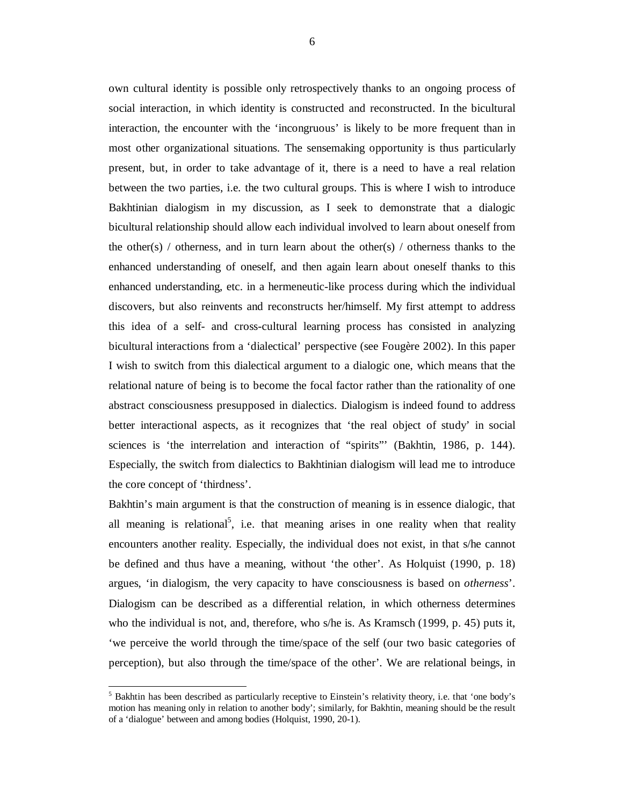own cultural identity is possible only retrospectively thanks to an ongoing process of social interaction, in which identity is constructed and reconstructed. In the bicultural interaction, the encounter with the 'incongruous' is likely to be more frequent than in most other organizational situations. The sensemaking opportunity is thus particularly present, but, in order to take advantage of it, there is a need to have a real relation between the two parties, i.e. the two cultural groups. This is where I wish to introduce Bakhtinian dialogism in my discussion, as I seek to demonstrate that a dialogic bicultural relationship should allow each individual involved to learn about oneself from the other(s) / otherness, and in turn learn about the other(s) / otherness thanks to the enhanced understanding of oneself, and then again learn about oneself thanks to this enhanced understanding, etc. in a hermeneutic-like process during which the individual discovers, but also reinvents and reconstructs her/himself. My first attempt to address this idea of a self- and cross-cultural learning process has consisted in analyzing bicultural interactions from a 'dialectical' perspective (see Fougère 2002). In this paper I wish to switch from this dialectical argument to a dialogic one, which means that the relational nature of being is to become the focal factor rather than the rationality of one abstract consciousness presupposed in dialectics. Dialogism is indeed found to address better interactional aspects, as it recognizes that 'the real object of study' in social sciences is 'the interrelation and interaction of "spirits"' (Bakhtin, 1986, p. 144). Especially, the switch from dialectics to Bakhtinian dialogism will lead me to introduce the core concept of 'thirdness'.

Bakhtin's main argument is that the construction of meaning is in essence dialogic, that all meaning is relational<sup>5</sup>, i.e. that meaning arises in one reality when that reality encounters another reality. Especially, the individual does not exist, in that s/he cannot be defined and thus have a meaning, without 'the other'. As Holquist (1990, p. 18) argues, 'in dialogism, the very capacity to have consciousness is based on *otherness*'. Dialogism can be described as a differential relation, in which otherness determines who the individual is not, and, therefore, who s/he is. As Kramsch (1999, p. 45) puts it, 'we perceive the world through the time/space of the self (our two basic categories of perception), but also through the time/space of the other'. We are relational beings, in

<sup>&</sup>lt;sup>5</sup> Bakhtin has been described as particularly receptive to Einstein's relativity theory, i.e. that 'one body's motion has meaning only in relation to another body'; similarly, for Bakhtin, meaning should be the result of a 'dialogue' between and among bodies (Holquist, 1990, 20-1).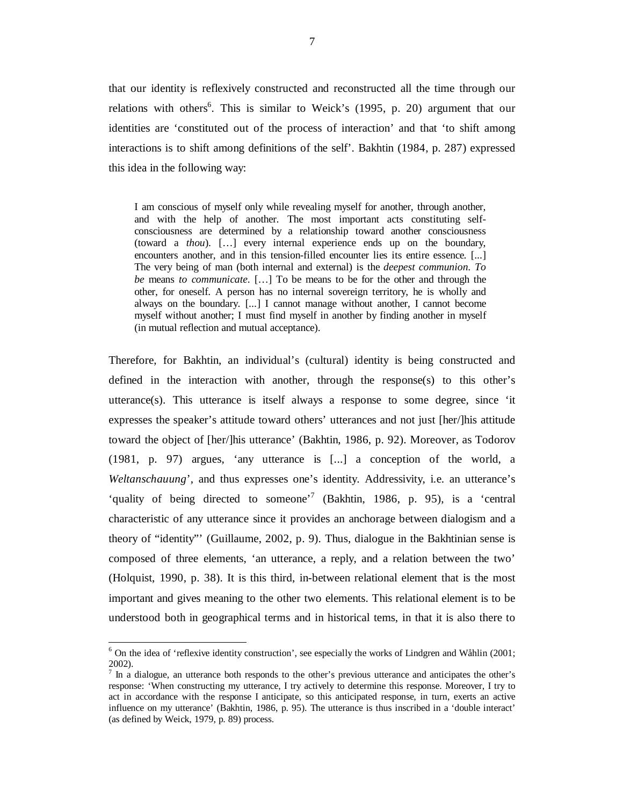that our identity is reflexively constructed and reconstructed all the time through our relations with others<sup>6</sup>. This is similar to Weick's (1995, p. 20) argument that our identities are 'constituted out of the process of interaction' and that 'to shift among interactions is to shift among definitions of the self'. Bakhtin (1984, p. 287) expressed this idea in the following way:

I am conscious of myself only while revealing myself for another, through another, and with the help of another. The most important acts constituting selfconsciousness are determined by a relationship toward another consciousness (toward a *thou*). […] every internal experience ends up on the boundary, encounters another, and in this tension-filled encounter lies its entire essence. [...] The very being of man (both internal and external) is the *deepest communion*. *To be* means *to communicate*. […] To be means to be for the other and through the other, for oneself. A person has no internal sovereign territory, he is wholly and always on the boundary. [...] I cannot manage without another, I cannot become myself without another; I must find myself in another by finding another in myself (in mutual reflection and mutual acceptance).

Therefore, for Bakhtin, an individual's (cultural) identity is being constructed and defined in the interaction with another, through the response(s) to this other's utterance(s). This utterance is itself always a response to some degree, since 'it expresses the speaker's attitude toward others' utterances and not just [her/]his attitude toward the object of [her/]his utterance' (Bakhtin, 1986, p. 92). Moreover, as Todorov (1981, p. 97) argues, 'any utterance is [...] a conception of the world, a *Weltanschauung*', and thus expresses one's identity. Addressivity, i.e. an utterance's 'quality of being directed to someone'<sup>7</sup> (Bakhtin, 1986, p. 95), is a 'central characteristic of any utterance since it provides an anchorage between dialogism and a theory of "identity"' (Guillaume, 2002, p. 9). Thus, dialogue in the Bakhtinian sense is composed of three elements, 'an utterance, a reply, and a relation between the two' (Holquist, 1990, p. 38). It is this third, in-between relational element that is the most important and gives meaning to the other two elements. This relational element is to be understood both in geographical terms and in historical tems, in that it is also there to

<sup>&</sup>lt;sup>6</sup> On the idea of 'reflexive identity construction', see especially the works of Lindgren and Wåhlin (2001; 2002).

 $<sup>7</sup>$  In a dialogue, an utterance both responds to the other's previous utterance and anticipates the other's</sup> response: 'When constructing my utterance, I try actively to determine this response. Moreover, I try to act in accordance with the response I anticipate, so this anticipated response, in turn, exerts an active influence on my utterance' (Bakhtin, 1986, p. 95). The utterance is thus inscribed in a 'double interact' (as defined by Weick, 1979, p. 89) process.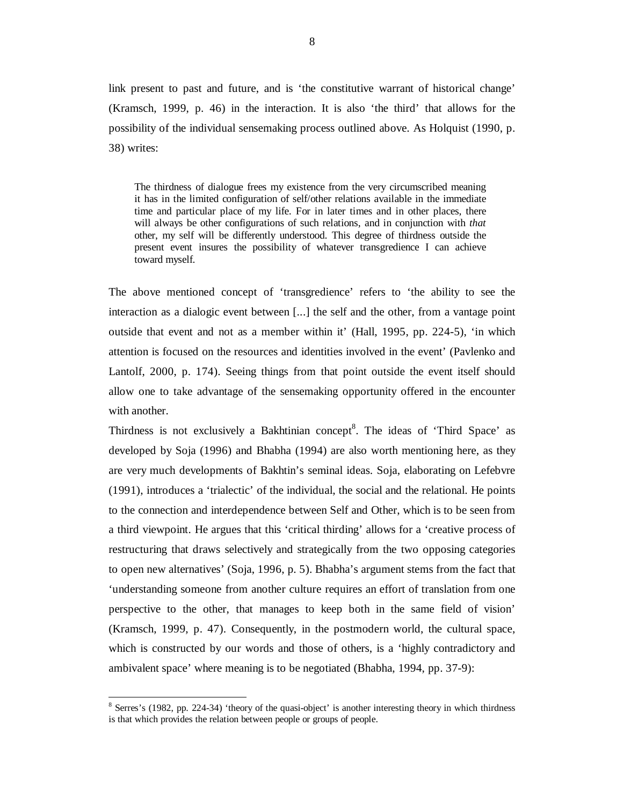link present to past and future, and is 'the constitutive warrant of historical change' (Kramsch, 1999, p. 46) in the interaction. It is also 'the third' that allows for the possibility of the individual sensemaking process outlined above. As Holquist (1990, p. 38) writes:

The thirdness of dialogue frees my existence from the very circumscribed meaning it has in the limited configuration of self/other relations available in the immediate time and particular place of my life. For in later times and in other places, there will always be other configurations of such relations, and in conjunction with *that* other, my self will be differently understood. This degree of thirdness outside the present event insures the possibility of whatever transgredience I can achieve toward myself.

The above mentioned concept of 'transgredience' refers to 'the ability to see the interaction as a dialogic event between [...] the self and the other, from a vantage point outside that event and not as a member within it' (Hall, 1995, pp. 224-5), 'in which attention is focused on the resources and identities involved in the event' (Pavlenko and Lantolf, 2000, p. 174). Seeing things from that point outside the event itself should allow one to take advantage of the sensemaking opportunity offered in the encounter with another.

Thirdness is not exclusively a Bakhtinian concept<sup>8</sup>. The ideas of 'Third Space' as developed by Soja (1996) and Bhabha (1994) are also worth mentioning here, as they are very much developments of Bakhtin's seminal ideas. Soja, elaborating on Lefebvre (1991), introduces a 'trialectic' of the individual, the social and the relational. He points to the connection and interdependence between Self and Other, which is to be seen from a third viewpoint. He argues that this 'critical thirding' allows for a 'creative process of restructuring that draws selectively and strategically from the two opposing categories to open new alternatives' (Soja, 1996, p. 5). Bhabha's argument stems from the fact that 'understanding someone from another culture requires an effort of translation from one perspective to the other, that manages to keep both in the same field of vision' (Kramsch, 1999, p. 47). Consequently, in the postmodern world, the cultural space, which is constructed by our words and those of others, is a 'highly contradictory and ambivalent space' where meaning is to be negotiated (Bhabha, 1994, pp. 37-9):

<sup>&</sup>lt;sup>8</sup> Serres's (1982, pp. 224-34) 'theory of the quasi-object' is another interesting theory in which thirdness is that which provides the relation between people or groups of people.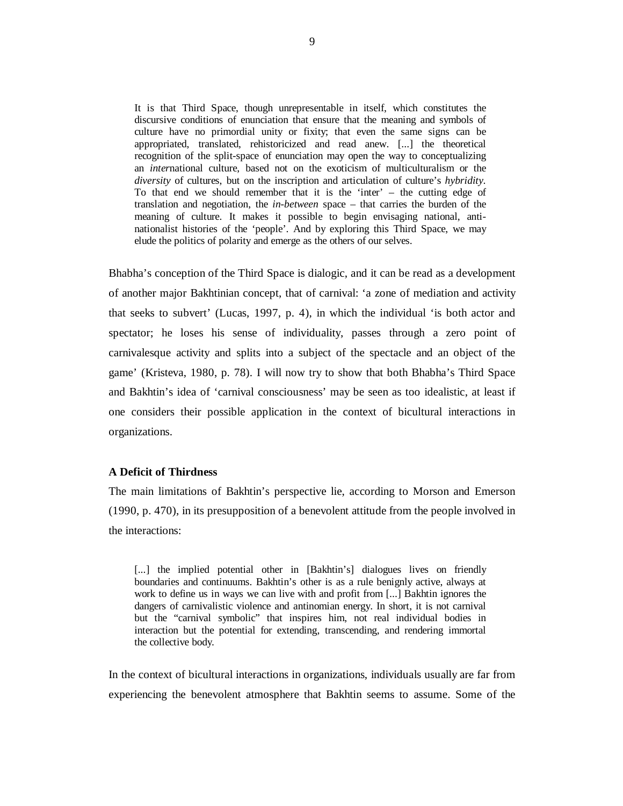It is that Third Space, though unrepresentable in itself, which constitutes the discursive conditions of enunciation that ensure that the meaning and symbols of culture have no primordial unity or fixity; that even the same signs can be appropriated, translated, rehistoricized and read anew. [...] the theoretical recognition of the split-space of enunciation may open the way to conceptualizing an *inter*national culture, based not on the exoticism of multiculturalism or the *diversity* of cultures, but on the inscription and articulation of culture's *hybridity*. To that end we should remember that it is the 'inter' – the cutting edge of translation and negotiation, the *in-between* space – that carries the burden of the meaning of culture. It makes it possible to begin envisaging national, antinationalist histories of the 'people'. And by exploring this Third Space, we may elude the politics of polarity and emerge as the others of our selves.

Bhabha's conception of the Third Space is dialogic, and it can be read as a development of another major Bakhtinian concept, that of carnival: 'a zone of mediation and activity that seeks to subvert' (Lucas, 1997, p. 4), in which the individual 'is both actor and spectator; he loses his sense of individuality, passes through a zero point of carnivalesque activity and splits into a subject of the spectacle and an object of the game' (Kristeva, 1980, p. 78). I will now try to show that both Bhabha's Third Space and Bakhtin's idea of 'carnival consciousness' may be seen as too idealistic, at least if one considers their possible application in the context of bicultural interactions in organizations.

### **A Deficit of Thirdness**

The main limitations of Bakhtin's perspective lie, according to Morson and Emerson (1990, p. 470), in its presupposition of a benevolent attitude from the people involved in the interactions:

[...] the implied potential other in [Bakhtin's] dialogues lives on friendly boundaries and continuums. Bakhtin's other is as a rule benignly active, always at work to define us in ways we can live with and profit from [...] Bakhtin ignores the dangers of carnivalistic violence and antinomian energy. In short, it is not carnival but the "carnival symbolic" that inspires him, not real individual bodies in interaction but the potential for extending, transcending, and rendering immortal the collective body.

In the context of bicultural interactions in organizations, individuals usually are far from experiencing the benevolent atmosphere that Bakhtin seems to assume. Some of the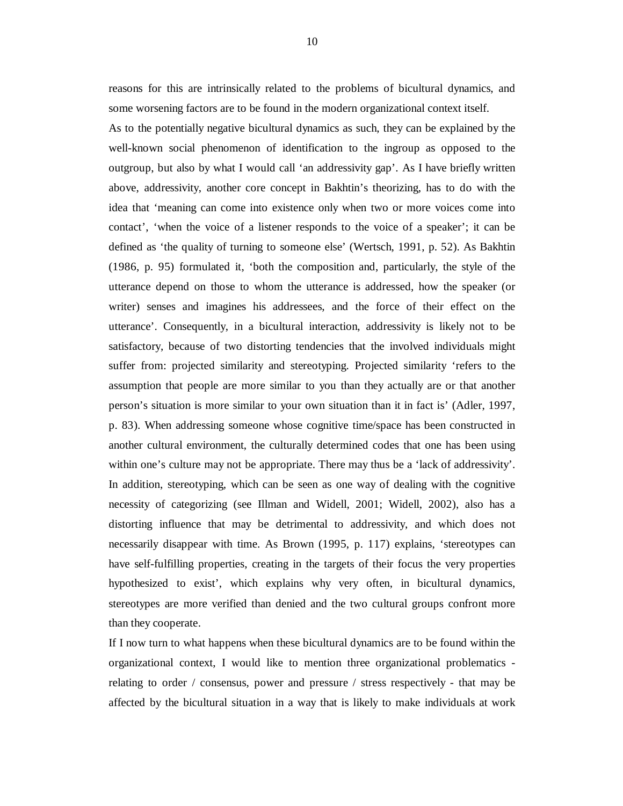reasons for this are intrinsically related to the problems of bicultural dynamics, and some worsening factors are to be found in the modern organizational context itself.

As to the potentially negative bicultural dynamics as such, they can be explained by the well-known social phenomenon of identification to the ingroup as opposed to the outgroup, but also by what I would call 'an addressivity gap'. As I have briefly written above, addressivity, another core concept in Bakhtin's theorizing, has to do with the idea that 'meaning can come into existence only when two or more voices come into contact', 'when the voice of a listener responds to the voice of a speaker'; it can be defined as 'the quality of turning to someone else' (Wertsch, 1991, p. 52). As Bakhtin (1986, p. 95) formulated it, 'both the composition and, particularly, the style of the utterance depend on those to whom the utterance is addressed, how the speaker (or writer) senses and imagines his addressees, and the force of their effect on the utterance'. Consequently, in a bicultural interaction, addressivity is likely not to be satisfactory, because of two distorting tendencies that the involved individuals might suffer from: projected similarity and stereotyping. Projected similarity 'refers to the assumption that people are more similar to you than they actually are or that another person's situation is more similar to your own situation than it in fact is' (Adler, 1997, p. 83). When addressing someone whose cognitive time/space has been constructed in another cultural environment, the culturally determined codes that one has been using within one's culture may not be appropriate. There may thus be a 'lack of addressivity'. In addition, stereotyping, which can be seen as one way of dealing with the cognitive necessity of categorizing (see Illman and Widell, 2001; Widell, 2002), also has a distorting influence that may be detrimental to addressivity, and which does not necessarily disappear with time. As Brown (1995, p. 117) explains, 'stereotypes can have self-fulfilling properties, creating in the targets of their focus the very properties hypothesized to exist', which explains why very often, in bicultural dynamics, stereotypes are more verified than denied and the two cultural groups confront more than they cooperate.

If I now turn to what happens when these bicultural dynamics are to be found within the organizational context, I would like to mention three organizational problematics relating to order / consensus, power and pressure / stress respectively - that may be affected by the bicultural situation in a way that is likely to make individuals at work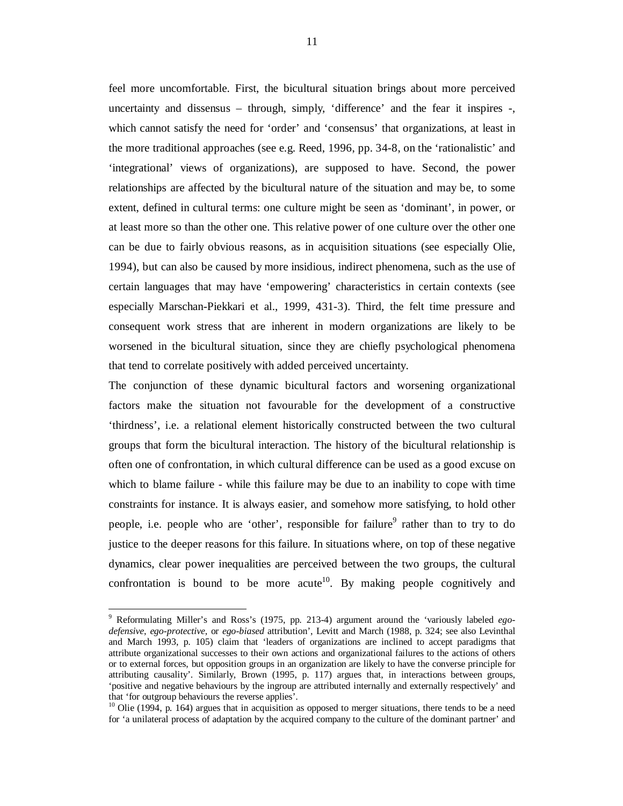feel more uncomfortable. First, the bicultural situation brings about more perceived uncertainty and dissensus – through, simply, 'difference' and the fear it inspires -, which cannot satisfy the need for 'order' and 'consensus' that organizations, at least in the more traditional approaches (see e.g. Reed, 1996, pp. 34-8, on the 'rationalistic' and 'integrational' views of organizations), are supposed to have. Second, the power relationships are affected by the bicultural nature of the situation and may be, to some extent, defined in cultural terms: one culture might be seen as 'dominant', in power, or at least more so than the other one. This relative power of one culture over the other one can be due to fairly obvious reasons, as in acquisition situations (see especially Olie, 1994), but can also be caused by more insidious, indirect phenomena, such as the use of certain languages that may have 'empowering' characteristics in certain contexts (see especially Marschan-Piekkari et al., 1999, 431-3). Third, the felt time pressure and consequent work stress that are inherent in modern organizations are likely to be worsened in the bicultural situation, since they are chiefly psychological phenomena that tend to correlate positively with added perceived uncertainty.

The conjunction of these dynamic bicultural factors and worsening organizational factors make the situation not favourable for the development of a constructive 'thirdness', i.e. a relational element historically constructed between the two cultural groups that form the bicultural interaction. The history of the bicultural relationship is often one of confrontation, in which cultural difference can be used as a good excuse on which to blame failure - while this failure may be due to an inability to cope with time constraints for instance. It is always easier, and somehow more satisfying, to hold other people, i.e. people who are 'other', responsible for failure<sup>9</sup> rather than to try to do justice to the deeper reasons for this failure. In situations where, on top of these negative dynamics, clear power inequalities are perceived between the two groups, the cultural confrontation is bound to be more acute<sup>10</sup>. By making people cognitively and

<sup>9</sup> Reformulating Miller's and Ross's (1975, pp. 213-4) argument around the 'variously labeled *egodefensive*, *ego-protective*, or *ego-biased* attribution', Levitt and March (1988, p. 324; see also Levinthal and March 1993, p. 105) claim that 'leaders of organizations are inclined to accept paradigms that attribute organizational successes to their own actions and organizational failures to the actions of others or to external forces, but opposition groups in an organization are likely to have the converse principle for attributing causality'. Similarly, Brown (1995, p. 117) argues that, in interactions between groups, 'positive and negative behaviours by the ingroup are attributed internally and externally respectively' and that 'for outgroup behaviours the reverse applies'.

<sup>&</sup>lt;sup>10</sup> Olie (1994, p. 164) argues that in acquisition as opposed to merger situations, there tends to be a need for 'a unilateral process of adaptation by the acquired company to the culture of the dominant partner' and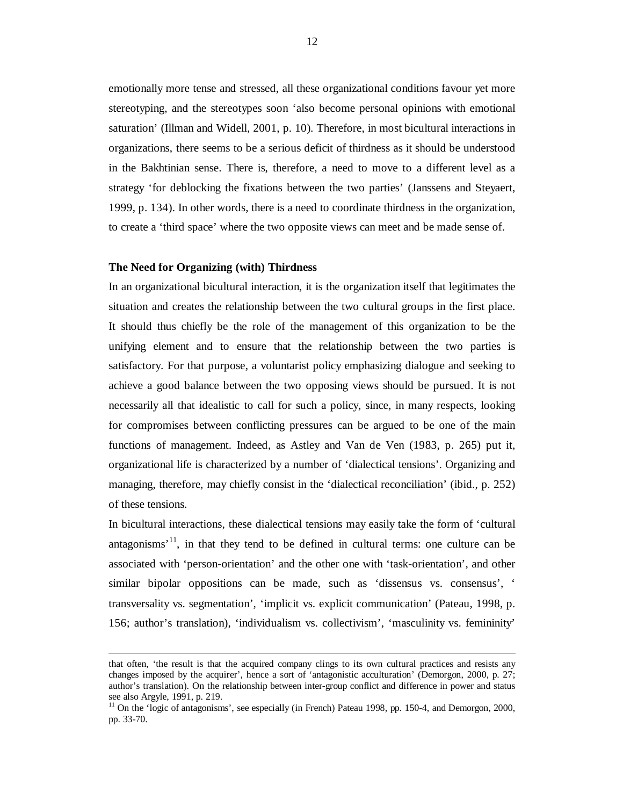emotionally more tense and stressed, all these organizational conditions favour yet more stereotyping, and the stereotypes soon 'also become personal opinions with emotional saturation' (Illman and Widell, 2001, p. 10). Therefore, in most bicultural interactions in organizations, there seems to be a serious deficit of thirdness as it should be understood in the Bakhtinian sense. There is, therefore, a need to move to a different level as a strategy 'for deblocking the fixations between the two parties' (Janssens and Steyaert, 1999, p. 134). In other words, there is a need to coordinate thirdness in the organization, to create a 'third space' where the two opposite views can meet and be made sense of.

#### **The Need for Organizing (with) Thirdness**

In an organizational bicultural interaction, it is the organization itself that legitimates the situation and creates the relationship between the two cultural groups in the first place. It should thus chiefly be the role of the management of this organization to be the unifying element and to ensure that the relationship between the two parties is satisfactory. For that purpose, a voluntarist policy emphasizing dialogue and seeking to achieve a good balance between the two opposing views should be pursued. It is not necessarily all that idealistic to call for such a policy, since, in many respects, looking for compromises between conflicting pressures can be argued to be one of the main functions of management. Indeed, as Astley and Van de Ven (1983, p. 265) put it, organizational life is characterized by a number of 'dialectical tensions'. Organizing and managing, therefore, may chiefly consist in the 'dialectical reconciliation' (ibid., p. 252) of these tensions.

In bicultural interactions, these dialectical tensions may easily take the form of 'cultural antagonisms<sup> $11$ </sup>, in that they tend to be defined in cultural terms: one culture can be associated with 'person-orientation' and the other one with 'task-orientation', and other similar bipolar oppositions can be made, such as 'dissensus vs. consensus', ' transversality vs. segmentation', 'implicit vs. explicit communication' (Pateau, 1998, p. 156; author's translation), 'individualism vs. collectivism', 'masculinity vs. femininity'

that often, 'the result is that the acquired company clings to its own cultural practices and resists any changes imposed by the acquirer', hence a sort of 'antagonistic acculturation' (Demorgon, 2000, p. 27; author's translation). On the relationship between inter-group conflict and difference in power and status see also Argyle, 1991, p. 219.

<sup>&</sup>lt;sup>11</sup> On the 'logic of antagonisms', see especially (in French) Pateau 1998, pp. 150-4, and Demorgon, 2000, pp. 33-70.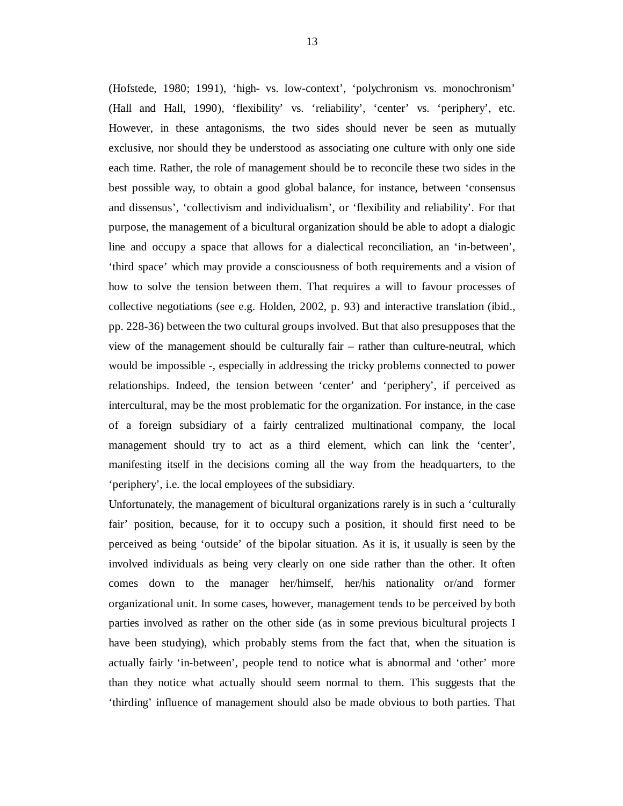13

(Hofstede, 1980; 1991), 'high- vs. low-context', 'polychronism vs. monochronism' (Hall and Hall, 1990), 'flexibility' vs. 'reliability', 'center' vs. 'periphery', etc. However, in these antagonisms, the two sides should never be seen as mutually exclusive, nor should they be understood as associating one culture with only one side each time. Rather, the role of management should be to reconcile these two sides in the best possible way, to obtain a good global balance, for instance, between 'consensus and dissensus', 'collectivism and individualism', or 'flexibility and reliability'. For that purpose, the management of a bicultural organization should be able to adopt a dialogic line and occupy a space that allows for a dialectical reconciliation, an 'in-between', 'third space' which may provide a consciousness of both requirements and a vision of how to solve the tension between them. That requires a will to favour processes of collective negotiations (see e.g. Holden, 2002, p. 93) and interactive translation (ibid., pp. 228-36) between the two cultural groups involved. But that also presupposes that the view of the management should be culturally fair – rather than culture-neutral, which would be impossible -, especially in addressing the tricky problems connected to power relationships. Indeed, the tension between 'center' and 'periphery', if perceived as intercultural, may be the most problematic for the organization. For instance, in the case of a foreign subsidiary of a fairly centralized multinational company, the local management should try to act as a third element, which can link the 'center', manifesting itself in the decisions coming all the way from the headquarters, to the 'periphery', i.e. the local employees of the subsidiary.

Unfortunately, the management of bicultural organizations rarely is in such a 'culturally fair' position, because, for it to occupy such a position, it should first need to be perceived as being 'outside' of the bipolar situation. As it is, it usually is seen by the involved individuals as being very clearly on one side rather than the other. It often comes down to the manager her/himself, her/his nationality or/and former organizational unit. In some cases, however, management tends to be perceived by both parties involved as rather on the other side (as in some previous bicultural projects I have been studying), which probably stems from the fact that, when the situation is actually fairly 'in-between', people tend to notice what is abnormal and 'other' more than they notice what actually should seem normal to them. This suggests that the 'thirding' influence of management should also be made obvious to both parties. That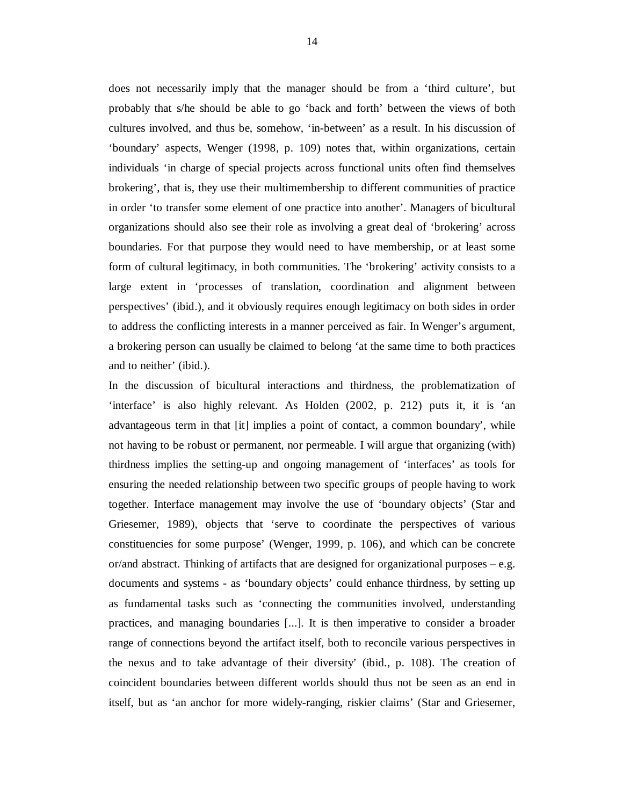does not necessarily imply that the manager should be from a 'third culture', but probably that s/he should be able to go 'back and forth' between the views of both cultures involved, and thus be, somehow, 'in-between' as a result. In his discussion of 'boundary' aspects, Wenger (1998, p. 109) notes that, within organizations, certain individuals 'in charge of special projects across functional units often find themselves brokering', that is, they use their multimembership to different communities of practice in order 'to transfer some element of one practice into another'. Managers of bicultural organizations should also see their role as involving a great deal of 'brokering' across boundaries. For that purpose they would need to have membership, or at least some form of cultural legitimacy, in both communities. The 'brokering' activity consists to a large extent in 'processes of translation, coordination and alignment between perspectives' (ibid.), and it obviously requires enough legitimacy on both sides in order to address the conflicting interests in a manner perceived as fair. In Wenger's argument, a brokering person can usually be claimed to belong 'at the same time to both practices and to neither' (ibid.).

In the discussion of bicultural interactions and thirdness, the problematization of 'interface' is also highly relevant. As Holden (2002, p. 212) puts it, it is 'an advantageous term in that [it] implies a point of contact, a common boundary', while not having to be robust or permanent, nor permeable. I will argue that organizing (with) thirdness implies the setting-up and ongoing management of 'interfaces' as tools for ensuring the needed relationship between two specific groups of people having to work together. Interface management may involve the use of 'boundary objects' (Star and Griesemer, 1989), objects that 'serve to coordinate the perspectives of various constituencies for some purpose' (Wenger, 1999, p. 106), and which can be concrete or/and abstract. Thinking of artifacts that are designed for organizational purposes – e.g. documents and systems - as 'boundary objects' could enhance thirdness, by setting up as fundamental tasks such as 'connecting the communities involved, understanding practices, and managing boundaries [...]. It is then imperative to consider a broader range of connections beyond the artifact itself, both to reconcile various perspectives in the nexus and to take advantage of their diversity' (ibid., p. 108). The creation of coincident boundaries between different worlds should thus not be seen as an end in itself, but as 'an anchor for more widely-ranging, riskier claims' (Star and Griesemer,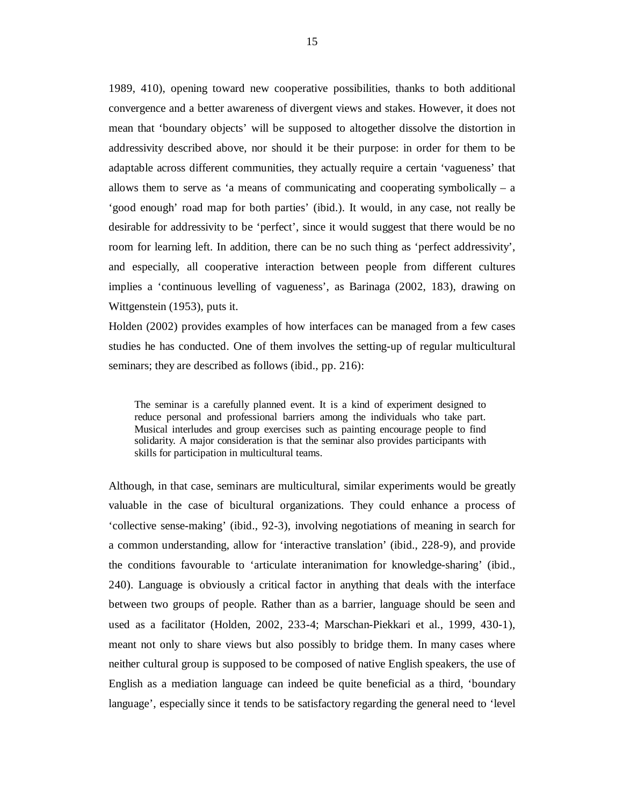1989, 410), opening toward new cooperative possibilities, thanks to both additional convergence and a better awareness of divergent views and stakes. However, it does not mean that 'boundary objects' will be supposed to altogether dissolve the distortion in addressivity described above, nor should it be their purpose: in order for them to be adaptable across different communities, they actually require a certain 'vagueness' that allows them to serve as 'a means of communicating and cooperating symbolically  $-$  a 'good enough' road map for both parties' (ibid.). It would, in any case, not really be desirable for addressivity to be 'perfect', since it would suggest that there would be no room for learning left. In addition, there can be no such thing as 'perfect addressivity', and especially, all cooperative interaction between people from different cultures implies a 'continuous levelling of vagueness', as Barinaga (2002, 183), drawing on Wittgenstein (1953), puts it.

Holden (2002) provides examples of how interfaces can be managed from a few cases studies he has conducted. One of them involves the setting-up of regular multicultural seminars; they are described as follows (ibid., pp. 216):

The seminar is a carefully planned event. It is a kind of experiment designed to reduce personal and professional barriers among the individuals who take part. Musical interludes and group exercises such as painting encourage people to find solidarity. A major consideration is that the seminar also provides participants with skills for participation in multicultural teams.

Although, in that case, seminars are multicultural, similar experiments would be greatly valuable in the case of bicultural organizations. They could enhance a process of 'collective sense-making' (ibid., 92-3), involving negotiations of meaning in search for a common understanding, allow for 'interactive translation' (ibid., 228-9), and provide the conditions favourable to 'articulate interanimation for knowledge-sharing' (ibid., 240). Language is obviously a critical factor in anything that deals with the interface between two groups of people. Rather than as a barrier, language should be seen and used as a facilitator (Holden, 2002, 233-4; Marschan-Piekkari et al., 1999, 430-1), meant not only to share views but also possibly to bridge them. In many cases where neither cultural group is supposed to be composed of native English speakers, the use of English as a mediation language can indeed be quite beneficial as a third, 'boundary language', especially since it tends to be satisfactory regarding the general need to 'level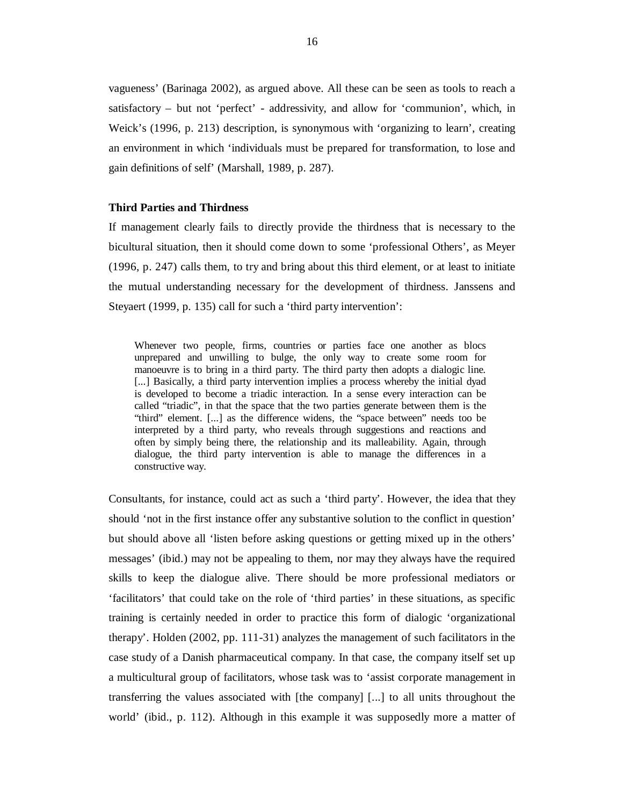vagueness' (Barinaga 2002), as argued above. All these can be seen as tools to reach a satisfactory – but not 'perfect' - addressivity, and allow for 'communion', which, in Weick's (1996, p. 213) description, is synonymous with 'organizing to learn', creating an environment in which 'individuals must be prepared for transformation, to lose and gain definitions of self' (Marshall, 1989, p. 287).

## **Third Parties and Thirdness**

If management clearly fails to directly provide the thirdness that is necessary to the bicultural situation, then it should come down to some 'professional Others', as Meyer (1996, p. 247) calls them, to try and bring about this third element, or at least to initiate the mutual understanding necessary for the development of thirdness. Janssens and Steyaert (1999, p. 135) call for such a 'third party intervention':

Whenever two people, firms, countries or parties face one another as blocs unprepared and unwilling to bulge, the only way to create some room for manoeuvre is to bring in a third party. The third party then adopts a dialogic line. [...] Basically, a third party intervention implies a process whereby the initial dyad is developed to become a triadic interaction. In a sense every interaction can be called "triadic", in that the space that the two parties generate between them is the "third" element. [...] as the difference widens, the "space between" needs too be interpreted by a third party, who reveals through suggestions and reactions and often by simply being there, the relationship and its malleability. Again, through dialogue, the third party intervention is able to manage the differences in a constructive way.

Consultants, for instance, could act as such a 'third party'. However, the idea that they should 'not in the first instance offer any substantive solution to the conflict in question' but should above all 'listen before asking questions or getting mixed up in the others' messages' (ibid.) may not be appealing to them, nor may they always have the required skills to keep the dialogue alive. There should be more professional mediators or 'facilitators' that could take on the role of 'third parties' in these situations, as specific training is certainly needed in order to practice this form of dialogic 'organizational therapy'. Holden (2002, pp. 111-31) analyzes the management of such facilitators in the case study of a Danish pharmaceutical company. In that case, the company itself set up a multicultural group of facilitators, whose task was to 'assist corporate management in transferring the values associated with [the company] [...] to all units throughout the world' (ibid., p. 112). Although in this example it was supposedly more a matter of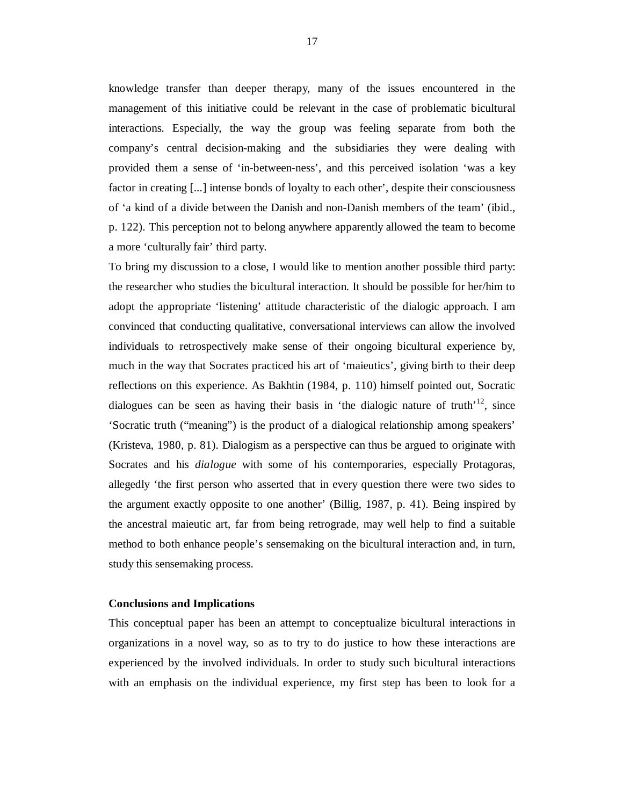knowledge transfer than deeper therapy, many of the issues encountered in the management of this initiative could be relevant in the case of problematic bicultural interactions. Especially, the way the group was feeling separate from both the company's central decision-making and the subsidiaries they were dealing with provided them a sense of 'in-between-ness', and this perceived isolation 'was a key factor in creating [...] intense bonds of loyalty to each other', despite their consciousness of 'a kind of a divide between the Danish and non-Danish members of the team' (ibid., p. 122). This perception not to belong anywhere apparently allowed the team to become a more 'culturally fair' third party.

To bring my discussion to a close, I would like to mention another possible third party: the researcher who studies the bicultural interaction. It should be possible for her/him to adopt the appropriate 'listening' attitude characteristic of the dialogic approach. I am convinced that conducting qualitative, conversational interviews can allow the involved individuals to retrospectively make sense of their ongoing bicultural experience by, much in the way that Socrates practiced his art of 'maieutics', giving birth to their deep reflections on this experience. As Bakhtin (1984, p. 110) himself pointed out, Socratic dialogues can be seen as having their basis in 'the dialogic nature of truth'<sup>12</sup>, since 'Socratic truth ("meaning") is the product of a dialogical relationship among speakers' (Kristeva, 1980, p. 81). Dialogism as a perspective can thus be argued to originate with Socrates and his *dialogue* with some of his contemporaries, especially Protagoras, allegedly 'the first person who asserted that in every question there were two sides to the argument exactly opposite to one another' (Billig, 1987, p. 41). Being inspired by the ancestral maieutic art, far from being retrograde, may well help to find a suitable method to both enhance people's sensemaking on the bicultural interaction and, in turn, study this sensemaking process.

#### **Conclusions and Implications**

This conceptual paper has been an attempt to conceptualize bicultural interactions in organizations in a novel way, so as to try to do justice to how these interactions are experienced by the involved individuals. In order to study such bicultural interactions with an emphasis on the individual experience, my first step has been to look for a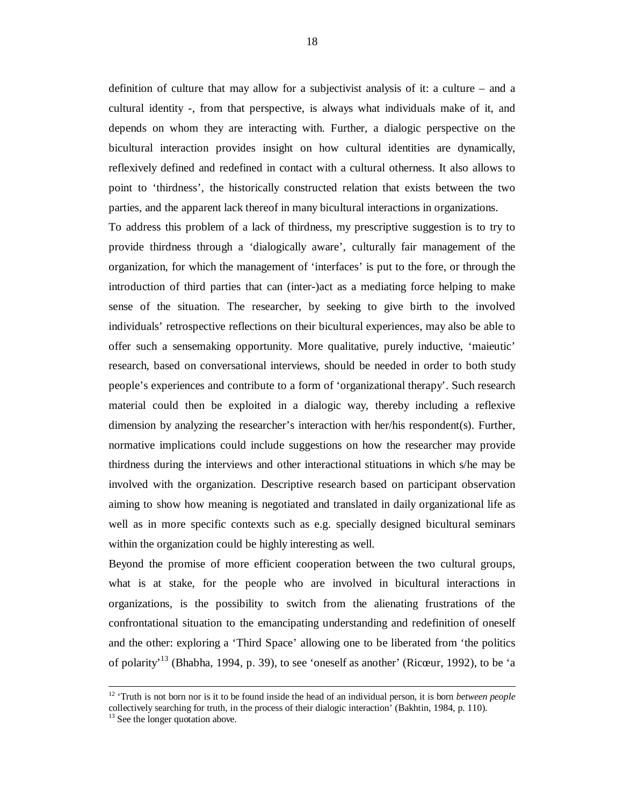definition of culture that may allow for a subjectivist analysis of it: a culture – and a cultural identity -, from that perspective, is always what individuals make of it, and depends on whom they are interacting with. Further, a dialogic perspective on the bicultural interaction provides insight on how cultural identities are dynamically, reflexively defined and redefined in contact with a cultural otherness. It also allows to point to 'thirdness', the historically constructed relation that exists between the two parties, and the apparent lack thereof in many bicultural interactions in organizations.

To address this problem of a lack of thirdness, my prescriptive suggestion is to try to provide thirdness through a 'dialogically aware', culturally fair management of the organization, for which the management of 'interfaces' is put to the fore, or through the introduction of third parties that can (inter-)act as a mediating force helping to make sense of the situation. The researcher, by seeking to give birth to the involved individuals' retrospective reflections on their bicultural experiences, may also be able to offer such a sensemaking opportunity. More qualitative, purely inductive, 'maieutic' research, based on conversational interviews, should be needed in order to both study people's experiences and contribute to a form of 'organizational therapy'. Such research material could then be exploited in a dialogic way, thereby including a reflexive dimension by analyzing the researcher's interaction with her/his respondent(s). Further, normative implications could include suggestions on how the researcher may provide thirdness during the interviews and other interactional stituations in which s/he may be involved with the organization. Descriptive research based on participant observation aiming to show how meaning is negotiated and translated in daily organizational life as well as in more specific contexts such as e.g. specially designed bicultural seminars within the organization could be highly interesting as well.

Beyond the promise of more efficient cooperation between the two cultural groups, what is at stake, for the people who are involved in bicultural interactions in organizations, is the possibility to switch from the alienating frustrations of the confrontational situation to the emancipating understanding and redefinition of oneself and the other: exploring a 'Third Space' allowing one to be liberated from 'the politics of polarity'13 (Bhabha, 1994, p. 39), to see 'oneself as another' (Ricœur, 1992), to be 'a

<sup>&</sup>lt;sup>12</sup> 'Truth is not born nor is it to be found inside the head of an individual person, it is born *between people* collectively searching for truth, in the process of their dialogic interaction' (Bakhtin, 1984, p. 110).  $13$  See the longer quotation above.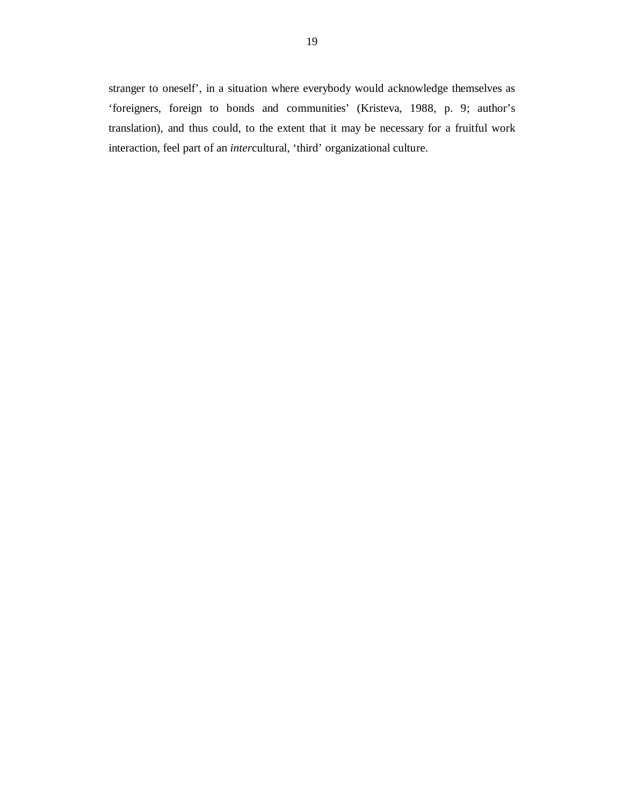stranger to oneself', in a situation where everybody would acknowledge themselves as 'foreigners, foreign to bonds and communities' (Kristeva, 1988, p. 9; author's translation), and thus could, to the extent that it may be necessary for a fruitful work interaction, feel part of an *inter*cultural, 'third' organizational culture.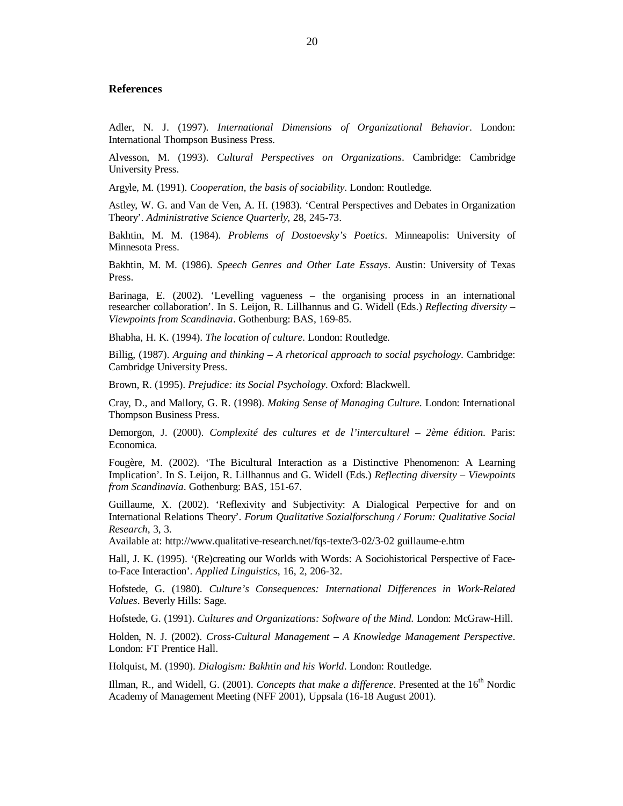#### **References**

Adler, N. J. (1997). *International Dimensions of Organizational Behavior*. London: International Thompson Business Press.

Alvesson, M. (1993). *Cultural Perspectives on Organizations*. Cambridge: Cambridge University Press.

Argyle, M. (1991). *Cooperation, the basis of sociability*. London: Routledge.

Astley, W. G. and Van de Ven, A. H. (1983). 'Central Perspectives and Debates in Organization Theory'. *Administrative Science Quarterly*, 28, 245-73.

Bakhtin, M. M. (1984). *Problems of Dostoevsky's Poetics*. Minneapolis: University of Minnesota Press.

Bakhtin, M. M. (1986). *Speech Genres and Other Late Essays*. Austin: University of Texas Press.

Barinaga, E. (2002). 'Levelling vagueness – the organising process in an international researcher collaboration'. In S. Leijon, R. Lillhannus and G. Widell (Eds.) *Reflecting diversity – Viewpoints from Scandinavia*. Gothenburg: BAS, 169-85.

Bhabha, H. K. (1994). *The location of culture*. London: Routledge.

Billig, (1987). *Arguing and thinking – A rhetorical approach to social psychology*. Cambridge: Cambridge University Press.

Brown, R. (1995). *Prejudice: its Social Psychology*. Oxford: Blackwell.

Cray, D., and Mallory, G. R. (1998). *Making Sense of Managing Culture*. London: International Thompson Business Press.

Demorgon, J. (2000). *Complexité des cultures et de l'interculturel – 2ème édition*. Paris: Economica.

Fougère, M. (2002). 'The Bicultural Interaction as a Distinctive Phenomenon: A Learning Implication'. In S. Leijon, R. Lillhannus and G. Widell (Eds.) *Reflecting diversity – Viewpoints from Scandinavia*. Gothenburg: BAS, 151-67.

Guillaume, X. (2002). 'Reflexivity and Subjectivity: A Dialogical Perpective for and on International Relations Theory'. *Forum Qualitative Sozialforschung / Forum: Qualitative Social Research*, 3, 3.

Available at: http://www.qualitative-research.net/fqs-texte/3-02/3-02 guillaume-e.htm

Hall, J. K. (1995). '(Re)creating our Worlds with Words: A Sociohistorical Perspective of Faceto-Face Interaction'. *Applied Linguistics*, 16, 2, 206-32.

Hofstede, G. (1980). *Culture's Consequences: International Differences in Work-Related Values*. Beverly Hills: Sage.

Hofstede, G. (1991). *Cultures and Organizations: Software of the Mind*. London: McGraw-Hill.

Holden, N. J. (2002). *Cross-Cultural Management – A Knowledge Management Perspective*. London: FT Prentice Hall.

Holquist, M. (1990). *Dialogism: Bakhtin and his World*. London: Routledge.

Illman, R., and Widell, G. (2001). *Concepts that make a difference*. Presented at the 16<sup>th</sup> Nordic Academy of Management Meeting (NFF 2001), Uppsala (16-18 August 2001).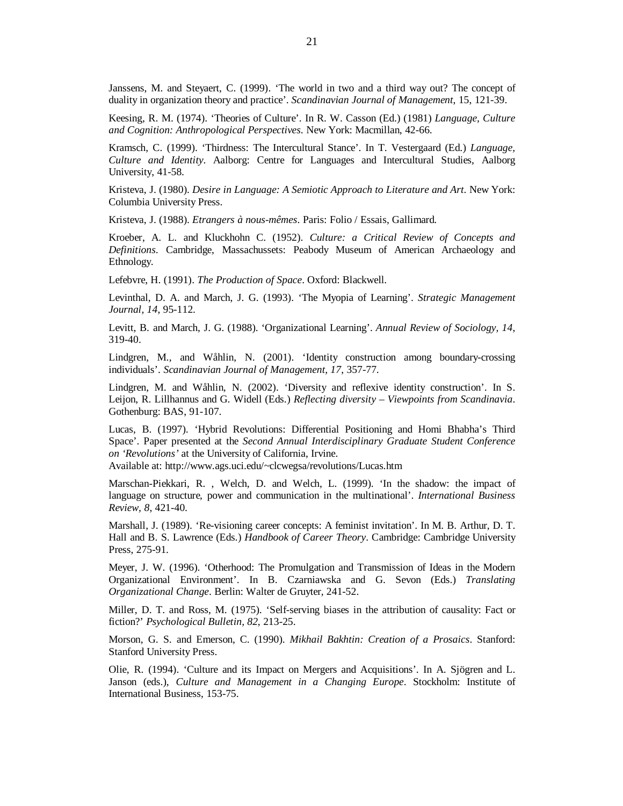Janssens, M. and Steyaert, C. (1999). 'The world in two and a third way out? The concept of duality in organization theory and practice'. *Scandinavian Journal of Management*, 15, 121-39.

Keesing, R. M. (1974). 'Theories of Culture'. In R. W. Casson (Ed.) (1981) *Language, Culture and Cognition: Anthropological Perspectives*. New York: Macmillan, 42-66.

Kramsch, C. (1999). 'Thirdness: The Intercultural Stance'. In T. Vestergaard (Ed.) *Language, Culture and Identity*. Aalborg: Centre for Languages and Intercultural Studies, Aalborg University, 41-58.

Kristeva, J. (1980). *Desire in Language: A Semiotic Approach to Literature and Art*. New York: Columbia University Press.

Kristeva, J. (1988). *Etrangers à nous-mêmes*. Paris: Folio / Essais, Gallimard.

Kroeber, A. L. and Kluckhohn C. (1952). *Culture: a Critical Review of Concepts and Definitions*. Cambridge, Massachussets: Peabody Museum of American Archaeology and Ethnology.

Lefebvre, H. (1991). *The Production of Space*. Oxford: Blackwell.

Levinthal, D. A. and March, J. G. (1993). 'The Myopia of Learning'. *Strategic Management Journal, 14*, 95-112.

Levitt, B. and March, J. G. (1988). 'Organizational Learning'. *Annual Review of Sociology, 14*, 319-40.

Lindgren, M., and Wåhlin, N. (2001). 'Identity construction among boundary-crossing individuals'. *Scandinavian Journal of Management, 17*, 357-77.

Lindgren, M. and Wåhlin, N. (2002). 'Diversity and reflexive identity construction'. In S. Leijon, R. Lillhannus and G. Widell (Eds.) *Reflecting diversity – Viewpoints from Scandinavia*. Gothenburg: BAS, 91-107.

Lucas, B. (1997). 'Hybrid Revolutions: Differential Positioning and Homi Bhabha's Third Space'. Paper presented at the *Second Annual Interdisciplinary Graduate Student Conference on 'Revolutions'* at the University of California, Irvine.

Available at: http://www.ags.uci.edu/~clcwegsa/revolutions/Lucas.htm

Marschan-Piekkari, R. , Welch, D. and Welch, L. (1999). 'In the shadow: the impact of language on structure, power and communication in the multinational'. *International Business Review, 8*, 421-40.

Marshall, J. (1989). 'Re-visioning career concepts: A feminist invitation'. In M. B. Arthur, D. T. Hall and B. S. Lawrence (Eds.) *Handbook of Career Theory*. Cambridge: Cambridge University Press, 275-91.

Meyer, J. W. (1996). 'Otherhood: The Promulgation and Transmission of Ideas in the Modern Organizational Environment'. In B. Czarniawska and G. Sevon (Eds.) *Translating Organizational Change*. Berlin: Walter de Gruyter, 241-52.

Miller, D. T. and Ross, M. (1975). 'Self-serving biases in the attribution of causality: Fact or fiction?' *Psychological Bulletin, 82*, 213-25.

Morson, G. S. and Emerson, C. (1990). *Mikhail Bakhtin: Creation of a Prosaics*. Stanford: Stanford University Press.

Olie, R. (1994). 'Culture and its Impact on Mergers and Acquisitions'. In A. Sjögren and L. Janson (eds.), *Culture and Management in a Changing Europe*. Stockholm: Institute of International Business, 153-75.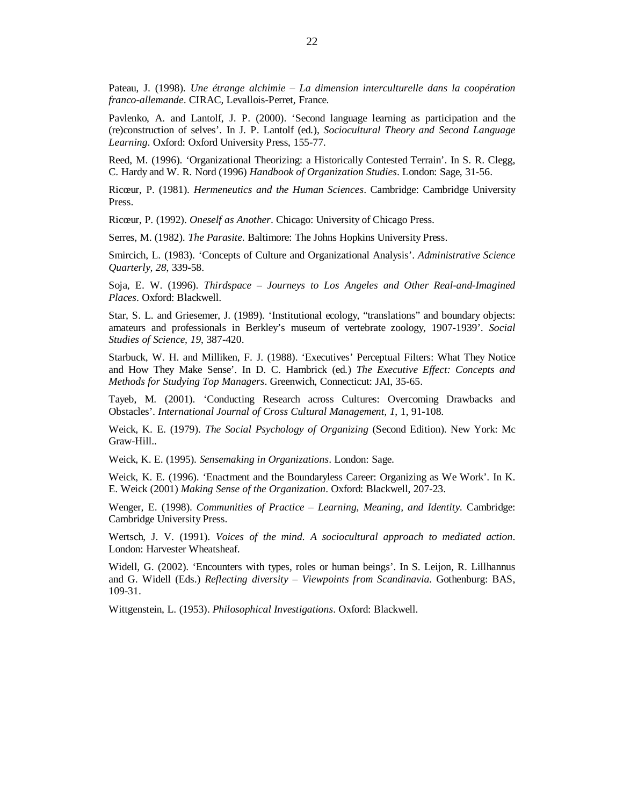Pateau, J. (1998). *Une étrange alchimie – La dimension interculturelle dans la coopération franco-allemande*. CIRAC, Levallois-Perret, France.

Pavlenko, A. and Lantolf, J. P. (2000). 'Second language learning as participation and the (re)construction of selves'. In J. P. Lantolf (ed.), *Sociocultural Theory and Second Language Learning*. Oxford: Oxford University Press, 155-77.

Reed, M. (1996). 'Organizational Theorizing: a Historically Contested Terrain'. In S. R. Clegg, C. Hardy and W. R. Nord (1996) *Handbook of Organization Studies*. London: Sage, 31-56.

Ricœur, P. (1981). *Hermeneutics and the Human Sciences*. Cambridge: Cambridge University Press.

Ricœur, P. (1992). *Oneself as Another*. Chicago: University of Chicago Press.

Serres, M. (1982). *The Parasite*. Baltimore: The Johns Hopkins University Press.

Smircich, L. (1983). 'Concepts of Culture and Organizational Analysis'. *Administrative Science Quarterly, 28*, 339-58.

Soja, E. W. (1996). *Thirdspace – Journeys to Los Angeles and Other Real-and-Imagined Places*. Oxford: Blackwell.

Star, S. L. and Griesemer, J. (1989). 'Institutional ecology, "translations" and boundary objects: amateurs and professionals in Berkley's museum of vertebrate zoology, 1907-1939'. *Social Studies of Science, 19*, 387-420.

Starbuck, W. H. and Milliken, F. J. (1988). 'Executives' Perceptual Filters: What They Notice and How They Make Sense'. In D. C. Hambrick (ed.) *The Executive Effect: Concepts and Methods for Studying Top Managers*. Greenwich, Connecticut: JAI, 35-65.

Tayeb, M. (2001). 'Conducting Research across Cultures: Overcoming Drawbacks and Obstacles'. *International Journal of Cross Cultural Management, 1*, 1, 91-108.

Weick, K. E. (1979). *The Social Psychology of Organizing* (Second Edition). New York: Mc Graw-Hill..

Weick, K. E. (1995). *Sensemaking in Organizations*. London: Sage.

Weick, K. E. (1996). 'Enactment and the Boundaryless Career: Organizing as We Work'. In K. E. Weick (2001) *Making Sense of the Organization*. Oxford: Blackwell, 207-23.

Wenger, E. (1998). *Communities of Practice – Learning, Meaning, and Identity*. Cambridge: Cambridge University Press.

Wertsch, J. V. (1991). *Voices of the mind. A sociocultural approach to mediated action*. London: Harvester Wheatsheaf.

Widell, G. (2002). 'Encounters with types, roles or human beings'. In S. Leijon, R. Lillhannus and G. Widell (Eds.) *Reflecting diversity – Viewpoints from Scandinavia*. Gothenburg: BAS, 109-31.

Wittgenstein, L. (1953). *Philosophical Investigations*. Oxford: Blackwell.